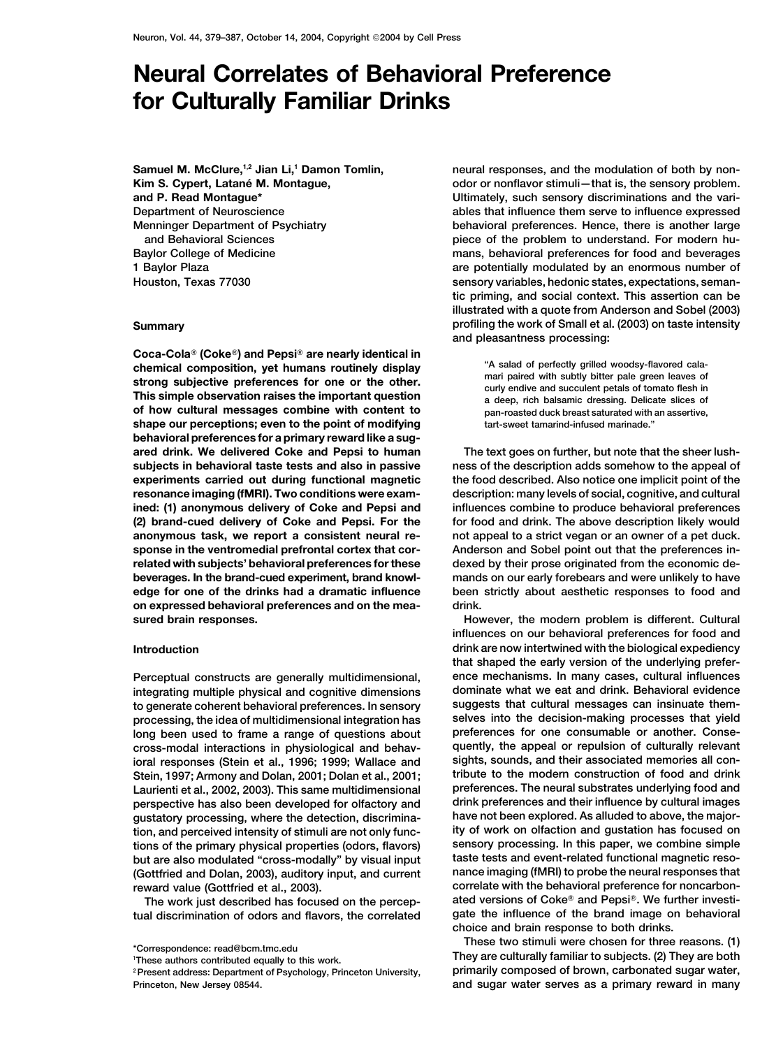# **Neural Correlates of Behavioral Preference for Culturally Familiar Drinks**

**Samuel M. McClure,1,2 Jian Li,1 Damon Tomlin, Kim S. Cypert, Latane´ M. Montague, and P. Read Montague\***

**Coca-Cola (Coke) and Pepsi are nearly identical in** chemical composition, yet humans routinely display<br>strong subjective preferences for one or the other.<br>This simple observation raises the important question<br>and evep, rich balsamic dressing. Delicate slices of **of how cultural messages combine with content to pan-roasted duck breast saturated with an assertive, shape our perceptions; even to the point of modifying tart-sweet tamarind-infused marinade." behavioral preferences for a primary reward like a sugared drink. We delivered Coke and Pepsi to human The text goes on further, but note that the sheer lushsubjects in behavioral taste tests and also in passive ness of the description adds somehow to the appeal of experiments carried out during functional magnetic the food described. Also notice one implicit point of the resonance imaging (fMRI). Two conditions were exam- description: many levels of social, cognitive, and cultural ined: (1) anonymous delivery of Coke and Pepsi and influences combine to produce behavioral preferences (2) brand-cued delivery of Coke and Pepsi. For the for food and drink. The above description likely would anonymous task, we report a consistent neural re- not appeal to a strict vegan or an owner of a pet duck. sponse in the ventromedial prefrontal cortex that cor- Anderson and Sobel point out that the preferences inrelated with subjects' behavioral preferences for these dexed by their prose originated from the economic debeverages. In the brand-cued experiment, brand knowl- mands on our early forebears and were unlikely to have edge for one of the drinks had a dramatic influence been strictly about aesthetic responses to food and on expressed behavioral preferences and on the mea- drink. sured brain responses. However, the modern problem is different. Cultural**

long been used to frame a range of questions about (Gottfried and Dolan, 2003), auditory input, and current

**neural responses, and the modulation of both by nonodor or nonflavor stimuli—that is, the sensory problem. Ultimately, such sensory discriminations and the vari-Department of Neuroscience** ables that influence them serve to influence expressed **Menninger Department of Psychiatry behavioral preferences. Hence, there is another large and Behavioral Sciences piece of the problem to understand. For modern hu-Baylor College of Medicine mans, behavioral preferences for food and beverages 1 Baylor Plaza are potentially modulated by an enormous number of Houston, Texas 77030 sensory variables, hedonic states, expectations, semantic priming, and social context. This assertion can be illustrated with a quote from Anderson and Sobel (2003) Summary profiling the work of Small et al. (2003) on taste intensity and pleasantness processing:**

**influences on our behavioral preferences for food and Introduction drink are now intertwined with the biological expediency that shaped the early version of the underlying prefer-Perceptual constructs are generally multidimensional, ence mechanisms. In many cases, cultural influences integrating multiple physical and cognitive dimensions dominate what we eat and drink. Behavioral evidence to generate coherent behavioral preferences. In sensory suggests that cultural messages can insinuate themprocessing, the idea of multidimensional integration has selves into the decision-making processes that yield cross-modal interactions in physiological and behav- quently, the appeal or repulsion of culturally relevant ioral responses (Stein et al., 1996; 1999; Wallace and sights, sounds, and their associated memories all con-Stein, 1997; Armony and Dolan, 2001; Dolan et al., 2001; tribute to the modern construction of food and drink Laurienti et al., 2002, 2003). This same multidimensional preferences. The neural substrates underlying food and perspective has also been developed for olfactory and drink preferences and their influence by cultural images gustatory processing, where the detection, discrimina- have not been explored. As alluded to above, the majortion, and perceived intensity of stimuli are not only func- ity of work on olfaction and gustation has focused on tions of the primary physical properties (odors, flavors) sensory processing. In this paper, we combine simple but are also modulated "cross-modally" by visual input taste tests and event-related functional magnetic resoreward value (Gottfried et al., 2003). correlate with the behavioral preference for noncarbon-**The work just described has focused on the percep-<br> **ated versions of Coke®** and Pepsi®. We further investitual discrimination of odors and flavors, the correlated gate the influence of the brand image on behavioral **choice and brain response to both drinks.**

**These two stimuli were chosen for three reasons. (1) \*Correspondence: read@bcm.tmc.edu <sup>1</sup> They are culturally familiar to subjects. (2) They are both These authors contributed equally to this work.**

<sup>&</sup>lt;sup>2</sup> Present address: Department of Psychology, Princeton University, **Princeton, New Jersey 08544. and sugar water serves as a primary reward in many**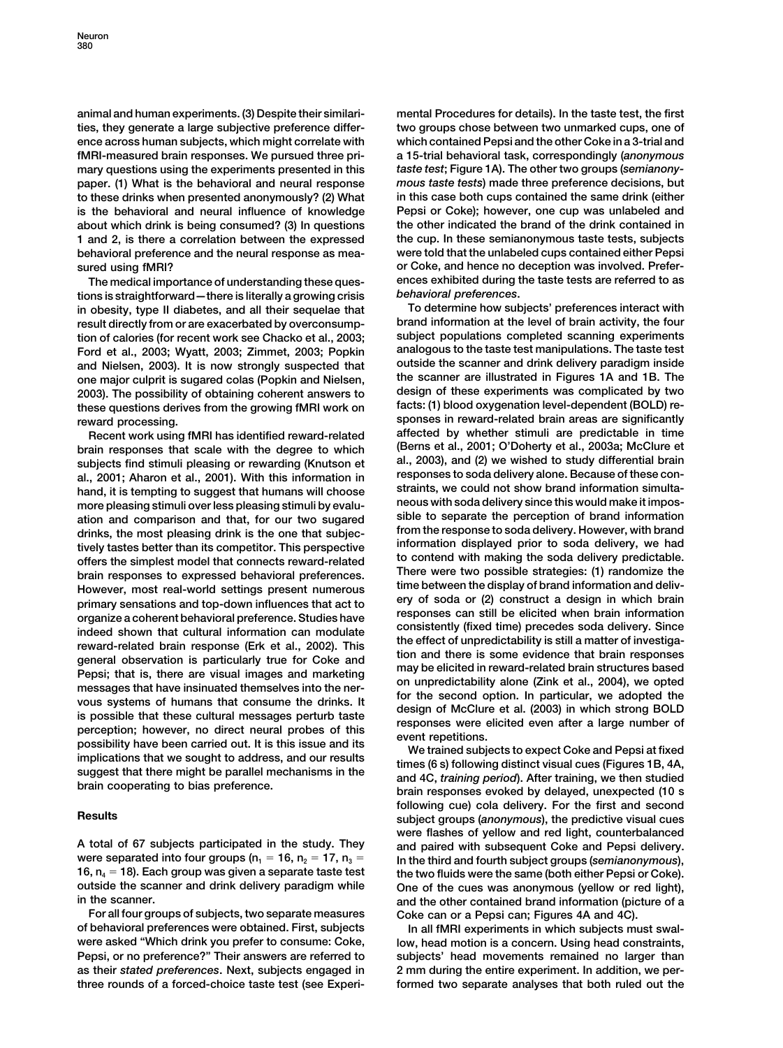**animal and human experiments. (3) Despite their similari- mental Procedures for details). In the taste test, the first ties, they generate a large subjective preference differ- two groups chose between two unmarked cups, one of ence across human subjects, which might correlate with which contained Pepsi and the other Coke in a 3-trial and fMRI-measured brain responses. We pursued three pri- a 15-trial behavioral task, correspondingly (***anonymous* **mary questions using the experiments presented in this** *taste test***; Figure 1A). The other two groups (***semianony***paper. (1) What is the behavioral and neural response** *mous taste tests***) made three preference decisions, but to these drinks when presented anonymously? (2) What in this case both cups contained the same drink (either is the behavioral and neural influence of knowledge Pepsi or Coke); however, one cup was unlabeled and about which drink is being consumed? (3) In questions the other indicated the brand of the drink contained in 1 and 2, is there a correlation between the expressed the cup. In these semianonymous taste tests, subjects** behavioral preference and the neural response as mea-

**The medical importance of understanding these ques- ences exhibited during the taste tests are referred to as tions is straightforward—there is literally a growing crisis** *behavioral preferences***. in obesity, type II diabetes, and all their sequelae that To determine how subjects' preferences interact with brand information at the level of brain activity, the four result directly from or are exacerbated by overconsumption of calories (for recent work see Chacko et al., 2003; subject populations completed scanning experiments Ford et al., 2003; Wyatt, 2003; Zimmet, 2003; Popkin analogous to the taste test manipulations. The taste test and Nielsen, 2003). It is now strongly suspected that outside the scanner and drink delivery paradigm inside one major culprit is sugared colas (Popkin and Nielsen, the scanner are illustrated in Figures 1A and 1B. The 2003). The possibility of obtaining coherent answers to design of these experiments was complicated by two** fhese questions derives from the growing fMRI work on

**brain responses that scale with the degree to which (Berns et al., 2001; O'Doherty et al., 2003a; McClure et al., 2003), and (2) we wished to study differential brain subjects find stimuli pleasing or rewarding (Knutson et responses to soda delivery alone. Because of these con- al., 2001; Aharon et al., 2001). With this information in straints, we could not show brand information simulta- hand, it is tempting to suggest that humans will choose** more pleasing stimuli over less pleasing stimuli by evalu-<br>ation, and comparison and that for our two suggred sible to separate the perception of brand information ation and comparison and that, for our two sugared<br>drinks, the most pleasing drink is the one that subjec-<br>trom the response to soda delivery. However, with brand<br>tively tastes better than its competitor. This perspective<br> meward-related brain response (Erk et al., 2002). This<br>general observation is particularly true for Coke and<br>Pepsi; that is, there are visual images and marketing<br>messages that have insinuated themselves into the ner-<br>vous

**16, n4 18). Each group was given a separate taste test the two fluids were the same (both either Pepsi or Coke).**

**For all four groups of subjects, two separate measures Coke can or a Pepsi can; Figures 4A and 4C). of behavioral preferences were obtained. First, subjects In all fMRI experiments in which subjects must swalwere asked "Which drink you prefer to consume: Coke, low, head motion is a concern. Using head constraints, Pepsi, or no preference?" Their answers are referred to subjects' head movements remained no larger than as their** *stated preferences***. Next, subjects engaged in 2 mm during the entire experiment. In addition, we per-**

**bured using fMRI?** or Coke, and hence no deception was involved. Prefer-<br>The medical importance of understanding these ques-<br>The medical importance of understanding these ques-<br>ences exhibited during the taste tests are r

**reward processing. sponses in reward-related brain areas are significantly Recent work using fMRI has identified reward-related affected by whether stimuli are predictable in time**

**following cue) cola delivery. For the first and second Results subject groups (***anonymous***), the predictive visual cues were flashes of yellow and red light, counterbalanced A total of 67 subjects participated in the study. They and paired with subsequent Coke and Pepsi delivery.** In the third and fourth subject groups (semianonymous), One of the cues was anonymous (yellow or red light), **in the scanner. and the other contained brand information (picture of a**

**three rounds of a forced-choice taste test (see Experi- formed two separate analyses that both ruled out the**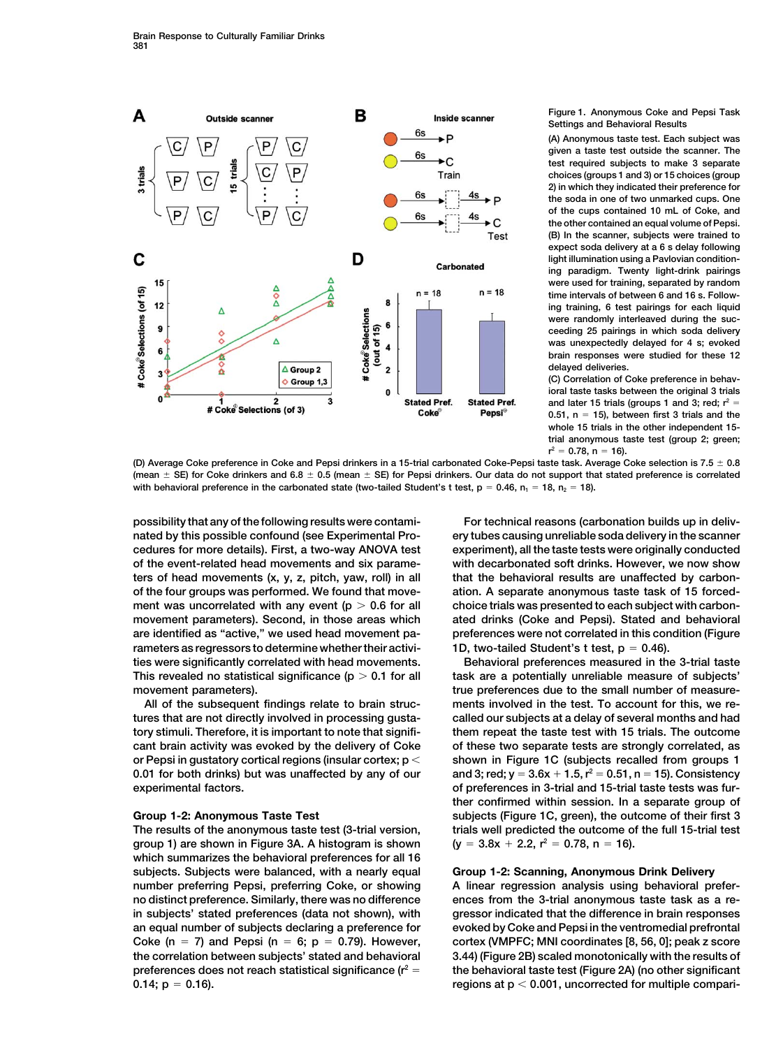

**Figure 1. Anonymous Coke and Pepsi Task Settings and Behavioral Results**

**(A) Anonymous taste test. Each subject was given a taste test outside the scanner. The test required subjects to make 3 separate choices (groups 1 and 3) or 15 choices (group 2) in which they indicated their preference for the soda in one of two unmarked cups. One of the cups contained 10 mL of Coke, and the other contained an equal volume of Pepsi. (B) In the scanner, subjects were trained to expect soda delivery at a 6 s delay following light illumination using a Pavlovian conditioning paradigm. Twenty light-drink pairings were used for training, separated by random time intervals of between 6 and 16 s. Following training, 6 test pairings for each liquid were randomly interleaved during the succeeding 25 pairings in which soda delivery was unexpectedly delayed for 4 s; evoked brain responses were studied for these 12 delayed deliveries.**

**(C) Correlation of Coke preference in behavioral taste tasks between the original 3 trials** and later 15 trials (groups 1 and 3; red;  $r^2 =$ **0.51, n 15), between first 3 trials and the whole 15 trials in the other independent 15 trial anonymous taste test (group 2; green; r <sup>2</sup> 0.78, n 16).**

(D) Average Coke preference in Coke and Pepsi drinkers in a 15-trial carbonated Coke-Pepsi taste task. Average Coke selection is 7.5  $\pm$  0.8  $\pm$ (mean  $\pm$  SE) for Coke drinkers and 6.8  $\pm$  0.5 (mean  $\pm$  SE) for Pepsi drinkers. Our data do not support that stated preference is correlated with behavioral preference in the carbonated state (two-tailed Student's t test,  $p = 0.46$ ,  $n_1 = 18$ ,  $n_2 = 18$ ).

**nated by this possible confound (see Experimental Pro- ery tubes causing unreliable soda delivery in the scanner** cedures for more details). First, a two-way ANOVA test experiment), all the taste tests were originally conducted **of the event-related head movements and six parame- with decarbonated soft drinks. However, we now show** ters of head movements (x, y, z, pitch, yaw, roll) in all that the behavioral results are unaffected by carbon**of the four groups was performed. We found that move- ation. A separate anonymous taste task of 15 forced**ment was uncorrelated with any event ( $p > 0.6$  for all choice trials was presented to each subject with carbon**movement parameters). Second, in those areas which ated drinks (Coke and Pepsi). Stated and behavioral are identified as "active," we used head movement pa- preferences were not correlated in this condition (Figure rameters as regressors to determine whether their activi- 1D, two-tailed Student's t test, p 0.46). ties were significantly correlated with head movements. Behavioral preferences measured in the 3-trial taste This revealed no statistical significance (p 0.1 for all task are a potentially unreliable measure of subjects'** movement parameters). The small number of measure-

**(y** = 3.8x + 2.2,  $r^2$  = 0.78, n = 16). **2.4 2.9 2.9 2.9 2.9 2.9 2.9 2.9 2.9 2.9 2.9 2.9 2.9 2.9 2.9 2.9 2.9 2.9 2.9 2.9 2.9 2.9 2.9 2.9 2.9 2.9 2.9 2.9 2.9 2.9 which summarizes the behavioral preferences for all 16 subjects. Subjects were balanced, with a nearly equal Group 1-2: Scanning, Anonymous Drink Delivery number preferring Pepsi, preferring Coke, or showing A linear regression analysis using behavioral prefer**no distinct preference. Similarly, there was no difference ences from the 3-trial anonymous taste task as a re**in subjects' stated preferences (data not shown), with gressor indicated that the difference in brain responses an equal number of subjects declaring a preference for evoked by Coke and Pepsi in the ventromedial prefrontal Coke (n 7) and Pepsi (n 6; p 0.79). However, cortex (VMPFC; MNI coordinates [8, 56, 0]; peak z score the correlation between subjects' stated and behavioral 3.44) (Figure 2B) scaled monotonically with the results of preferences does not reach statistical significance (** $r^2 =$  **the behavioral taste test (Figure 2A) (no other significant 0.14;**  $p = 0.16$ . **regions at**  $p < 0.001$ **, uncorrected for multiple compari-**

**possibility that any of the following results were contami- For technical reasons (carbonation builds up in deliv-**

**All of the subsequent findings relate to brain struc- ments involved in the test. To account for this, we retures that are not directly involved in processing gusta- called our subjects at a delay of several months and had tory stimuli. Therefore, it is important to note that signifi- them repeat the taste test with 15 trials. The outcome cant brain activity was evoked by the delivery of Coke of these two separate tests are strongly correlated, as or Pepsi in gustatory cortical regions (insular cortex; p shown in Figure 1C (subjects recalled from groups 1 0.01 for both drinks) but was unaffected by any of our and 3; red;**  $y = 3.6x + 1.5$ **,**  $r^2 = 0.51$ **,**  $n = 15$ **). Consistency experimental factors. of preferences in 3-trial and 15-trial taste tests was further confirmed within session. In a separate group of Group 1-2: Anonymous Taste Test subjects (Figure 1C, green), the outcome of their first 3 The results of the anonymous taste test (3-trial version, trials well predicted the outcome of the full 15-trial test**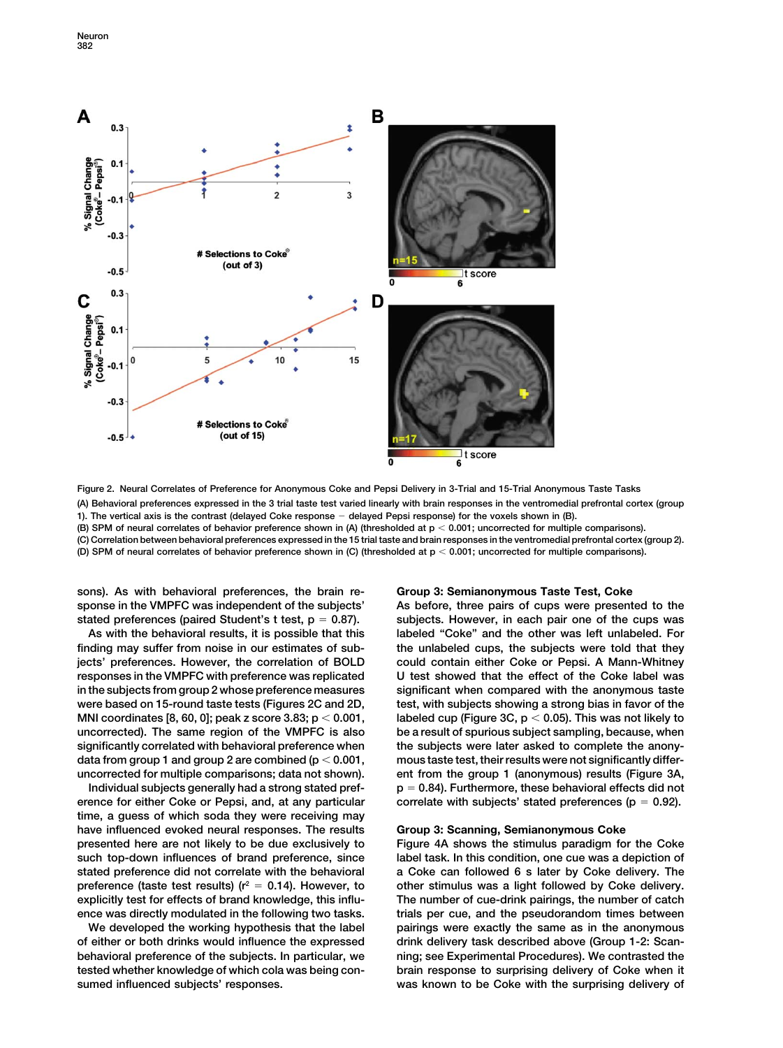

**Figure 2. Neural Correlates of Preference for Anonymous Coke and Pepsi Delivery in 3-Trial and 15-Trial Anonymous Taste Tasks (A) Behavioral preferences expressed in the 3 trial taste test varied linearly with brain responses in the ventromedial prefrontal cortex (group 1). The vertical axis is the contrast (delayed Coke response delayed Pepsi response) for the voxels shown in (B). (B) SPM of neural correlates of behavior preference shown in (A) (thresholded at p 0.001; uncorrected for multiple comparisons). (C) Correlation between behavioral preferences expressed in the 15 trial taste and brain responses in the ventromedial prefrontal cortex (group 2). (D) SPM of neural correlates of behavior preference shown in (C) (thresholded at p 0.001; uncorrected for multiple comparisons).**

**sons). As with behavioral preferences, the brain re- Group 3: Semianonymous Taste Test, Coke sponse in the VMPFC was independent of the subjects' As before, three pairs of cups were presented to the**

**erence for either Coke or Pepsi, and, at any particular correlate with subjects' stated preferences (p 0.92). time, a guess of which soda they were receiving may have influenced evoked neural responses. The results Group 3: Scanning, Semianonymous Coke**

**stated preferences (paired Student's t test, p 0.87). subjects. However, in each pair one of the cups was As with the behavioral results, it is possible that this labeled "Coke" and the other was left unlabeled. For finding may suffer from noise in our estimates of sub- the unlabeled cups, the subjects were told that they jects' preferences. However, the correlation of BOLD could contain either Coke or Pepsi. A Mann-Whitney responses in the VMPFC with preference was replicated U test showed that the effect of the Coke label was in the subjects from group 2 whose preference measures significant when compared with the anonymous taste were based on 15-round taste tests (Figures 2C and 2D, test, with subjects showing a strong bias in favor of the MNI coordinates [8, 60, 0]; peak z score 3.83; p 0.001, labeled cup (Figure 3C, p 0.05). This was not likely to uncorrected). The same region of the VMPFC is also be a result of spurious subject sampling, because, when significantly correlated with behavioral preference when the subjects were later asked to complete the anonydata from group 1 and group 2 are combined (p 0.001, mous taste test, their results were not significantly differuncorrected for multiple comparisons; data not shown). ent from the group 1 (anonymous) results (Figure 3A, Individual subjects generally had a strong stated pref- p 0.84). Furthermore, these behavioral effects did not**

**presented here are not likely to be due exclusively to Figure 4A shows the stimulus paradigm for the Coke such top-down influences of brand preference, since label task. In this condition, one cue was a depiction of stated preference did not correlate with the behavioral a Coke can followed 6 s later by Coke delivery. The** preference (taste test results) ( $r^2 = 0.14$ ). However, to other stimulus was a light followed by Coke delivery. **explicitly test for effects of brand knowledge, this influ- The number of cue-drink pairings, the number of catch ence was directly modulated in the following two tasks. trials per cue, and the pseudorandom times between We developed the working hypothesis that the label pairings were exactly the same as in the anonymous of either or both drinks would influence the expressed drink delivery task described above (Group 1-2: Scanbehavioral preference of the subjects. In particular, we ning; see Experimental Procedures). We contrasted the tested whether knowledge of which cola was being con- brain response to surprising delivery of Coke when it sumed influenced subjects' responses. was known to be Coke with the surprising delivery of**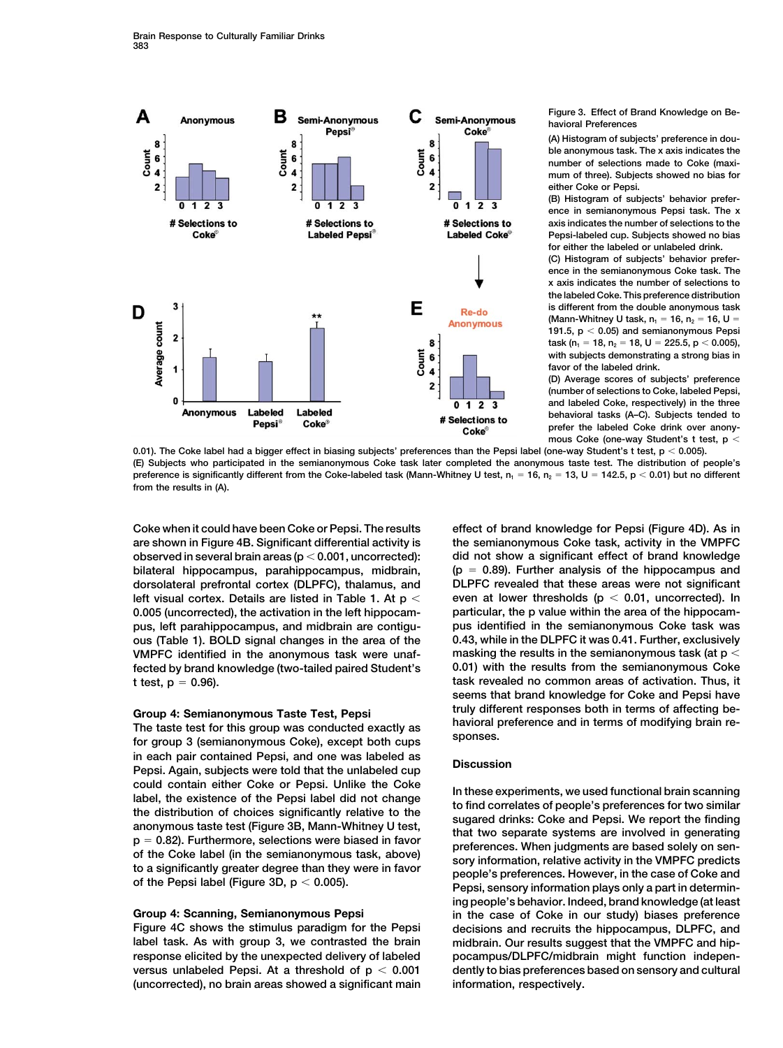

**Figure 3. Effect of Brand Knowledge on Behavioral Preferences**

**(A) Histogram of subjects' preference in double anonymous task. The x axis indicates the number of selections made to Coke (maximum of three). Subjects showed no bias for either Coke or Pepsi.**

**(B) Histogram of subjects' behavior preference in semianonymous Pepsi task. The x axis indicates the number of selections to the Pepsi-labeled cup. Subjects showed no bias for either the labeled or unlabeled drink.**

**(C) Histogram of subjects' behavior preference in the semianonymous Coke task. The x axis indicates the number of selections to the labeled Coke. This preference distribution is different from the double anonymous task (Mann-Whitney U task,**  $n_1 = 16$ **,**  $n_2 = 16$ **, U = 191.5, p 0.05) and semianonymous Pepsi task (n<sub>1</sub> = 18, n<sub>2</sub> = 18, U = 225.5, p < 0.005), with subjects demonstrating a strong bias in favor of the labeled drink.**

**(D) Average scores of subjects' preference (number of selections to Coke, labeled Pepsi, and labeled Coke, respectively) in the three behavioral tasks (A–C). Subjects tended to prefer the labeled Coke drink over anonymous Coke (one-way Student's t test, p**

**0.01). The Coke label had a bigger effect in biasing subjects' preferences than the Pepsi label (one-way Student's t test, p 0.005). (E) Subjects who participated in the semianonymous Coke task later completed the anonymous taste test. The distribution of people's** preference is significantly different from the Coke-labeled task (Mann-Whitney U test,  $n_1 = 16$ ,  $n_2 = 13$ , U = 142.5, p < 0.01) but no different **from the results in (A).**

**are shown in Figure 4B. Significant differential activity is the semianonymous Coke task, activity in the VMPFC observed in several brain areas (p 0.001, uncorrected): did not show a significant effect of brand knowledge bilateral hippocampus, parahippocampus, midbrain, (p 0.89). Further analysis of the hippocampus and dorsolateral prefrontal cortex (DLPFC), thalamus, and DLPFC revealed that these areas were not significant** left visual cortex. Details are listed in Table 1. At p < even at lower thresholds (p < 0.01, uncorrected). In **0.005 (uncorrected), the activation in the left hippocam- particular, the p value within the area of the hippocampus, left parahippocampus, and midbrain are contigu- pus identified in the semianonymous Coke task was ous (Table 1). BOLD signal changes in the area of the 0.43, while in the DLPFC it was 0.41. Further, exclusively VMPFC identified in the anonymous task were unaf- masking the results in the semianonymous task (at p fected by brand knowledge (two-tailed paired Student's 0.01) with the results from the semianonymous Coke t test, p** = 0.96). **task revealed no common areas of activation. Thus, it** 

**in each pair contained Pepsi, and one was labeled as Discussion Pepsi. Again, subjects were told that the unlabeled cup** could contain either Coke or Pepsi. Unlike the Coke<br>
label, the existence of the Pepsi label did not change<br>
the distribution of choices significantly relative to the<br>
anonymous taste test (Figure 3B, Mann-Whitney U test,

**Figure 4C shows the stimulus paradigm for the Pepsi decisions and recruits the hippocampus, DLPFC, and label task. As with group 3, we contrasted the brain midbrain. Our results suggest that the VMPFC and hipresponse elicited by the unexpected delivery of labeled pocampus/DLPFC/midbrain might function indepenversus unlabeled Pepsi. At a threshold of p 0.001 dently to bias preferences based on sensory and cultural (uncorrected), no brain areas showed a significant main information, respectively.**

**Coke when it could have been Coke or Pepsi. The results effect of brand knowledge for Pepsi (Figure 4D). As in seems that brand knowledge for Coke and Pepsi have** Group 4: Semianonymous Taste Test, Pepsi<br>The taste test for this group was conducted exactly as thavioral preference and in terms of modifying brain re-<br>for group 3 (semianonymous Coke), except both cups sponses.

**ing people's behavior. Indeed, brand knowledge (at least Group 4: Scanning, Semianonymous Pepsi in the case of Coke in our study) biases preference**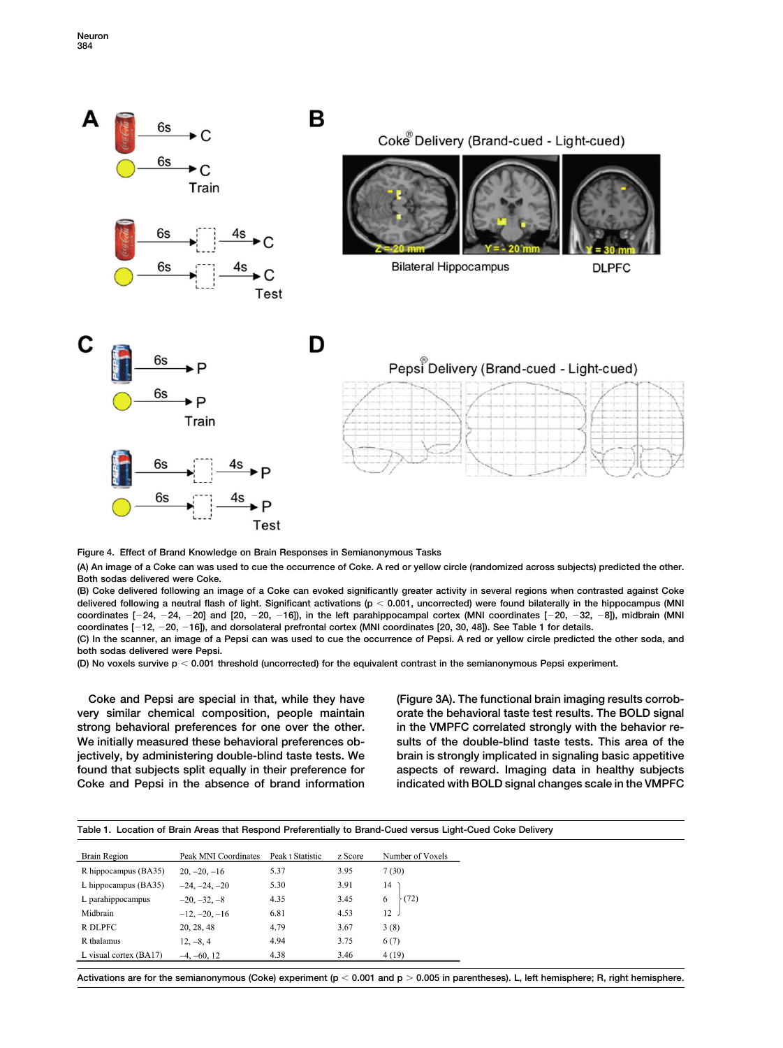

**Figure 4. Effect of Brand Knowledge on Brain Responses in Semianonymous Tasks**

**(A) An image of a Coke can was used to cue the occurrence of Coke. A red or yellow circle (randomized across subjects) predicted the other. Both sodas delivered were Coke.**

**(B) Coke delivered following an image of a Coke can evoked significantly greater activity in several regions when contrasted against Coke delivered following a neutral flash of light. Significant activations (p 0.001, uncorrected) were found bilaterally in the hippocampus (MNI coordinates [24, 24, 20] and [20, 20, 16]), in the left parahippocampal cortex (MNI coordinates [20, 32, 8]), midbrain (MNI coordinates [12, 20, 16]), and dorsolateral prefrontal cortex (MNI coordinates [20, 30, 48]). See Table 1 for details.**

**(C) In the scanner, an image of a Pepsi can was used to cue the occurrence of Pepsi. A red or yellow circle predicted the other soda, and both sodas delivered were Pepsi.**

**(D) No voxels survive p 0.001 threshold (uncorrected) for the equivalent contrast in the semianonymous Pepsi experiment.**

**very similar chemical composition, people maintain orate the behavioral taste test results. The BOLD signal strong behavioral preferences for one over the other. in the VMPFC correlated strongly with the behavior re-We initially measured these behavioral preferences ob- sults of the double-blind taste tests. This area of the jectively, by administering double-blind taste tests. We brain is strongly implicated in signaling basic appetitive found that subjects split equally in their preference for aspects of reward. Imaging data in healthy subjects Coke and Pepsi in the absence of brand information indicated with BOLD signal changes scale in the VMPFC**

**Coke and Pepsi are special in that, while they have (Figure 3A). The functional brain imaging results corrob-**

| Table 1. Location of Brain Areas that Respond Preferentially to Brand-Cued versus Light-Cued Coke Delivery |                      |                  |         |                  |
|------------------------------------------------------------------------------------------------------------|----------------------|------------------|---------|------------------|
| <b>Brain Region</b>                                                                                        | Peak MNI Coordinates | Peak t Statistic | z Score | Number of Voxels |
| R hippocampus (BA35)                                                                                       | $20, -20, -16$       | 5.37             | 3.95    | 7(30)            |
| L hippocampus (BA35)                                                                                       | $-24, -24, -20$      | 5.30             | 3.91    | 14               |
| L parahippocampus                                                                                          | $-20, -32, -8$       | 4.35             | 3.45    | (72)<br>6        |
| Midbrain                                                                                                   | $-12, -20, -16$      | 6.81             | 4.53    | 12               |
| R DLPFC                                                                                                    | 20, 28, 48           | 4.79             | 3.67    | 3(8)             |
| R thalamus                                                                                                 | $12, -8, 4$          | 4.94             | 3.75    | 6(7)             |
| L visual cortex (BA17)                                                                                     | $-4, -60, 12$        | 4.38             | 3.46    | 4(19)            |

**Activations are for the semianonymous (Coke) experiment (p 0.001 and p 0.005 in parentheses). L, left hemisphere; R, right hemisphere.**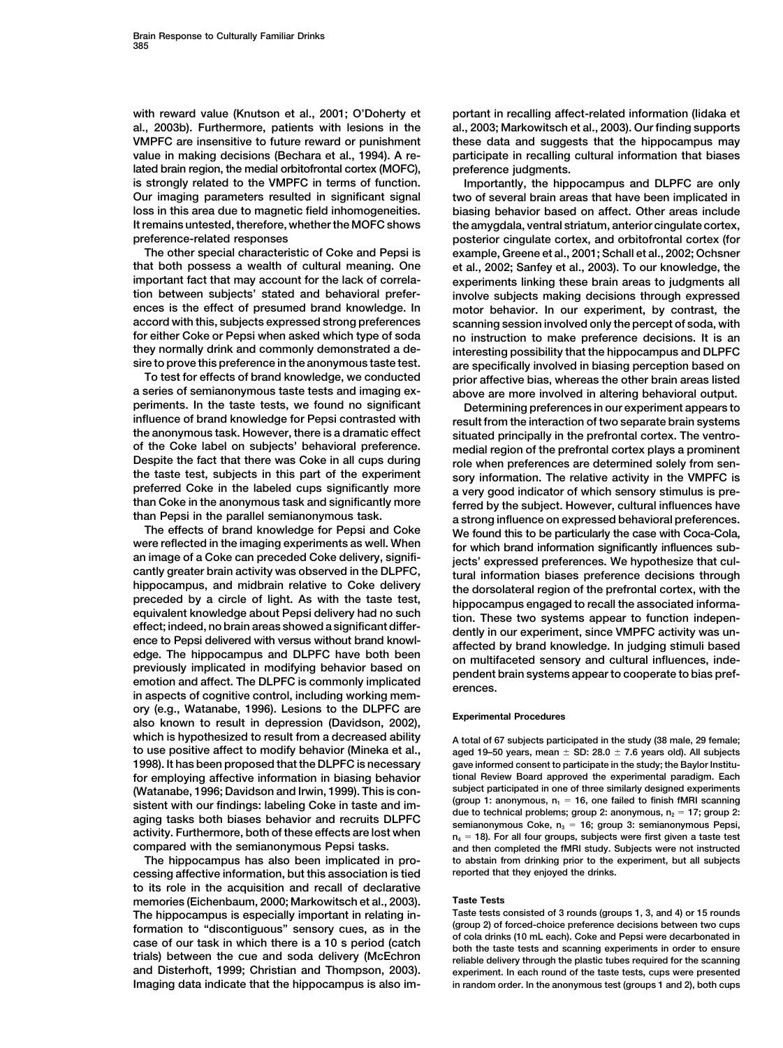**with reward value (Knutson et al., 2001; O'Doherty et portant in recalling affect-related information (Iidaka et al., 2003b). Furthermore, patients with lesions in the al., 2003; Markowitsch et al., 2003). Our finding supports VMPFC are insensitive to future reward or punishment these data and suggests that the hippocampus may value in making decisions (Bechara et al., 1994). A re- participate in recalling cultural information that biases lated brain region, the medial orbitofrontal cortex (MOFC), preference judgments. is strongly related to the VMPFC in terms of function. Importantly, the hippocampus and DLPFC are only Our imaging parameters resulted in significant signal two of several brain areas that have been implicated in loss in this area due to magnetic field inhomogeneities. biasing behavior based on affect. Other areas include It remains untested, therefore, whether the MOFC shows the amygdala, ventral striatum, anterior cingulate cortex,**

**The other special characteristic of Coke and Pepsi is example, Greene et al., 2001; Schall et al., 2002; Ochsner that both possess a wealth of cultural meaning. One et al., 2002; Sanfey et al., 2003). To our knowledge, the important fact that may account for the lack of correla- experiments linking these brain areas to judgments all tion between subjects' stated and behavioral prefer- involve subjects making decisions through expressed ences is the effect of presumed brand knowledge. In motor behavior. In our experiment, by contrast, the accord with this, subjects expressed strong preferences scanning session involved only the percept of soda, with for either Coke or Pepsi when asked which type of soda no instruction to make preference decisions. It is an**

**To test for effects of brand knowledge, we conducted prior affective bias, whereas the other brain areas listed a series of semianonymous taste tests and imaging ex- above are more involved in altering behavioral output. periments. In the taste tests, we found no significant Determining preferences in our experiment appears to influence of brand knowledge for Pepsi contrasted with result from the interaction of two separate brain systems the anonymous task. However, there is a dramatic effect situated principally in the prefrontal cortex. The ventroof the Coke label on subjects' behavioral preference. medial region of the prefrontal cortex plays a prominent Despite the fact that there was Coke in all cups during role when preferences are determined solely from sen-**

an image of a Coke can preceded Coke delivery, significantly greater brain activity was observed in the DLPFC,<br>
hippocampus, and midbrain relative to Coke delivery<br>
preceded by a circle of light. As with the taste test,<br>
e **ory (e.g., Watanabe, 1996). Lesions to the DLPFC are Experimental Procedures also known to result in depression (Davidson, 2002), which is hypothesized to result from a decreased ability A total of 67 subjects participated in the study (38 male, 29 female;** to use positive affect to modify behavior (Mineka et al., **1998). It has been proposed that the DLPFC is necessary gave informed consent to participate in the study; the Baylor Institufor employing affective information in biasing behavior tional Review Board approved the experimental paradigm. Each** (Watanabe, 1996; Davidson and Irwin, 1999). This is con-<br>sistent with our findings: labeling Coke in taste and im-<br>aging tasks both biases behavior and recruits DLPFC<br>activity. Furthermore, both of these effects are lost

**cessing affective information, but this association is tied reported that they enjoyed the drinks. to its role in the acquisition and recall of declarative memories (Eichenbaum, 2000; Markowitsch et al., 2003). Taste Tests The hippocampus is especially important in relating in- Taste tests consisted of 3 rounds (groups 1, 3, and 4) or 15 rounds** formation to "discontiguous" sensory cues, as in the case of our task in which there is a 10 s period (catch<br>case of our task in which there is a 10 s period (catch<br>trials) between the cue and soda delivery (McEchron<br>relia **and Disterhoft, 1999; Christian and Thompson, 2003). experiment. In each round of the taste tests, cups were presented Imaging data indicate that the hippocampus is also im- in random order. In the anonymous test (groups 1 and 2), both cups**

**preference-related responses posterior cingulate cortex, and orbitofrontal cortex (for they normally drink and commonly demonstrated a de- interesting possibility that the hippocampus and DLPFC sire to prove this preference in the anonymous taste test. are specifically involved in biasing perception based on**

the taste test, subjects in this part of the experiment<br>preferred Coke in the labeled cups significantly more<br>than Coke in the anonymous task and significantly more<br>than Pepsi in the parallel semianonymous task.<br>The effect

 $\pm$  SD: 28.0  $\pm$  7.6 years old). All subjects activity. Furthermore, both of these effects are lost when  $n_4 = 18$ ). For all four groups, subjects were first given a taste test compared with the semianonymous Pepsi tasks. **The hippocampus has also been implicated in pro- to abstain from drinking prior to the experiment, but all subjects**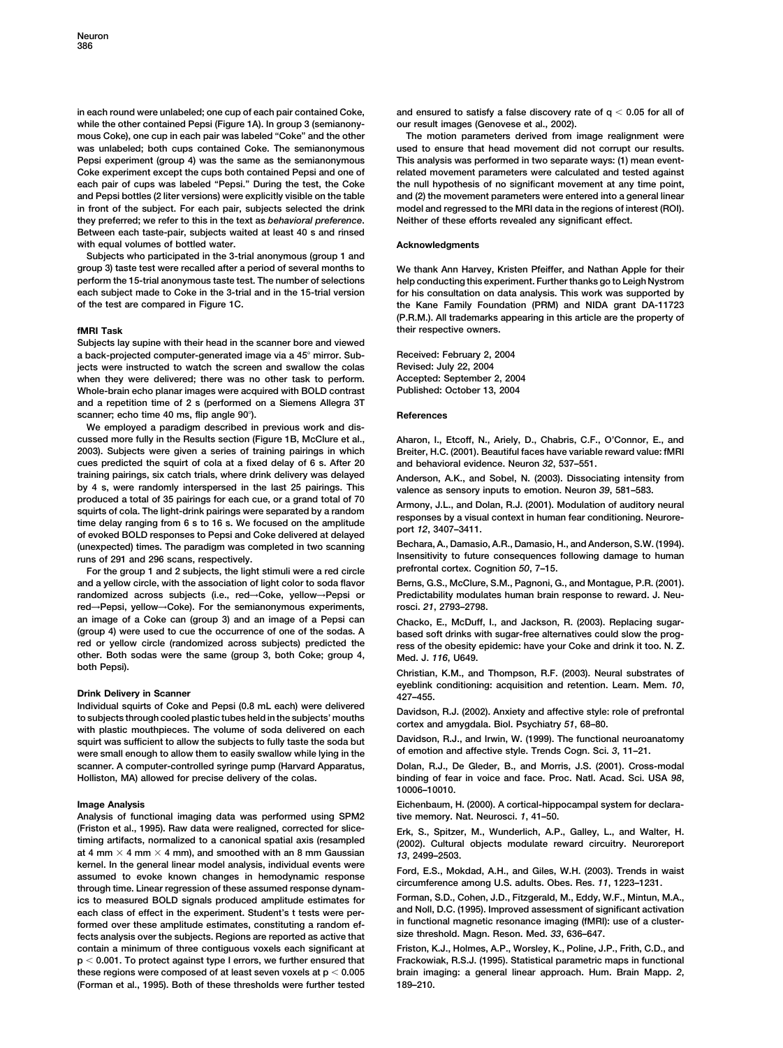**while the other contained Pepsi (Figure 1A). In group 3 (semianony- our result images (Genovese et al., 2002). mous Coke), one cup in each pair was labeled "Coke" and the other The motion parameters derived from image realignment were was unlabeled; both cups contained Coke. The semianonymous used to ensure that head movement did not corrupt our results. Pepsi experiment (group 4) was the same as the semianonymous This analysis was performed in two separate ways: (1) mean event-Coke experiment except the cups both contained Pepsi and one of related movement parameters were calculated and tested against each pair of cups was labeled "Pepsi." During the test, the Coke the null hypothesis of no significant movement at any time point, and Pepsi bottles (2 liter versions) were explicitly visible on the table and (2) the movement parameters were entered into a general linear in front of the subject. For each pair, subjects selected the drink model and regressed to the MRI data in the regions of interest (ROI). they preferred; we refer to this in the text as** *behavioral preference***. Neither of these efforts revealed any significant effect. Between each taste-pair, subjects waited at least 40 s and rinsed** with equal volumes of bottled water. **Acknowledgments Acknowledgments** 

**Subjects who participated in the 3-trial anonymous (group 1 and group 3) taste test were recalled after a period of several months to We thank Ann Harvey, Kristen Pfeiffer, and Nathan Apple for their**

**Subjects lay supine with their head in the scanner bore and viewed a back-projected computer-generated image via a 45 mirror. Sub- Received: February 2, 2004** jects were instructed to watch the screen and swallow the colas **when they were delivered; there was no other task to perform. Accepted: September 2, 2004 Whole-brain echo planar images were acquired with BOLD contrast Published: October 13, 2004 and a repetition time of 2 s (performed on a Siemens Allegra 3T scanner; echo time 40 ms, flip angle 90). References**

**We employed a paradigm described in previous work and discues predicted the squirt of cola at a fixed delay of 6 s. After 20 and behavioral evidence. Neuron** *32***, 537–551. by 4 s, were randomly interspersed in the last 25 pairings. This valence as sensory inputs to emotion. Neuron** *39***, 581–583.** produced a total of 35 paintings for each cue, of a grand total of 75<br>squirts of cola. The light-drink pairings were separated by a random<br>time delay ranging from 6 s to 16 s. We focused on the amplitude<br>of evoked BOLD res (unexpected) times. The paradigm was completed in two scanning

For the group 1 and 2 subjects, the light stimuli were a red circle **and a yellow circle, with the association of light color to soda flavor Berns, G.S., McClure, S.M., Pagnoni, G., and Montague, P.R. (2001). randomized across subjects (i.e., red**→**Coke, yellow**→**Pepsi or Predictability modulates human brain response to reward. J. Neu**red→Pepsi, yellow→Coke). For the semianonymous experiments, an image of a Coke can (group 3) and an image of a Pepsi can **an image of a Coke can (group 3) and an image of a Pepsi can Chacko, E., McDuff, I., and Jackson, R. (2003). Replacing sugar- (group 4) were used to cue the occurrence of one of the sodas. A based soft drinks with sugar-free alternatives could slow the progother. Both sodas were the same (group 3, both Coke; group 4, Med. J. 116, U649.**<br>both Pepsi).

noisual squires of order to subjects through cooled plastic tubes held in the subjects through cooled plastic tubes held in the subjects' mouths<br>with plastic mouthpieces. The volume of soda delivered on each<br>with plastic m **Davidson, R.J., and Irwin, W. (1999). The functional neuroanatomy** squirt was sufficient to allow the subjects to fully taste the soda but<br>**Squirt was sufficient to allow them to easily swallow while lying in the** of emot were small enough to allow them to easily swallow while lying in the scanner. A computer-controlled syringe pump (Harvard Apparatus, Dolan, R.J., De Gleder, B., and Morris, J.S. (2001). Cross-modal

**Analysis of functional imaging data was performed using SPM2 tive memory. Nat. Neurosci.** *1***, 41–50. (Friston et al., 1995). Raw data were realigned, corrected for slice- Erk, S., Spitzer, M., Wunderlich, A.P., Galley, L., and Walter, H.** at 4 mm  $\times$  4 mm  $\times$  4 mm), and smoothed with an 8 mm Gaussian  $\frac{1}{13}$ , 2499–2503.<br>kernel. In the general linear model analysis, individual events were  $\frac{1}{5}$ Series. In the general linear inoder analysis, individual events were<br>through the Linear regression of these assumed to evoke known changes in hemodynamic response<br>through the Linear regression of these assumed response of **Forman, S.D., Cohen, J.D., Fitzgerald, M., Eddy, W.F., Mintun, M.A., ics to measured BOLD signals produced amplitude estimates for** each class of effect in the experiment. Student's t tests were per-<br>**formed over these amplitude estimates** constituting a random ef- in functional magnetic resonance imaging (fMRI): use of a clusterformed over these amplitude estimates, constituting a random ef-<br>fects analysis over the subjects. Begions are reported as active that size threshold. Magn. Reson. Med. 33, 636–647 fects analysis over the subjects. Regions are reported as active that **contain a minimum of three contiguous voxels each significant at Friston, K.J., Holmes, A.P., Worsley, K., Poline, J.P., Frith, C.D., and p 0.001. To protect against type I errors, we further ensured that Frackowiak, R.S.J. (1995). Statistical parametric maps in functional these regions were composed of at least seven voxels at p 0.005 brain imaging: a general linear approach. Hum. Brain Mapp.** *2***, (Forman et al., 1995). Both of these thresholds were further tested 189–210.**

**in each round were unlabeled; one cup of each pair contained Coke, and ensured to satisfy a false discovery rate of q 0.05 for all of**

**perform the 15-trial anonymous taste test. The number of selections help conducting this experiment. Further thanks go to Leigh Nystrom each subject made to Coke in the 3-trial and in the 15-trial version for his consultation on data analysis. This work was supported by of the test are compared in Figure 1C. the Kane Family Foundation (PRM) and NIDA grant DA-11723 (P.R.M.). All trademarks appearing in this article are the property of their respective owners. fMRI Task**

**cussed more fully in the Results section (Figure 1B, McClure et al., Aharon, I., Etcoff, N., Ariely, D., Chabris, C.F., O'Connor, E., and 2003). Subjects were given a series of training pairings in which Breiter, H.C. (2001). Beautiful faces have variable reward value: fMRI**

Anderson, A.K., and Sobel, N. (2003). Dissociating intensity from

Insensitivity to future consequences following damage to human<br> **Insensitivity to future consequences following damage to human**<br> **Insensitivity to future consequences following damage to human**<br> **Insensitivity to future c** 

ress of the obesity epidemic: have your Coke and drink it too. N. Z.

**both Pepsi). Christian, K.M., and Thompson, R.F. (2003). Neural substrates of eyeblink conditioning: acquisition and retention. Learn. Mem. 10,**<br>427–455.<br>**Individual squirts of Coke and Pepsi (0.8 mL each) were delivered**<br>**Desides and COSO Assists and effective at the sole of expressed** 

**Holliston, MA) allowed for precise delivery of the colas. binding of fear in voice and face. Proc. Natl. Acad. Sci. USA** *98***, 10006–10010.**

**Image Analysis Eichenbaum, H. (2000). A cortical-hippocampal system for declara-**

**timing artifacts, normalized to a canonical spatial axis (resampled (2002). Cultural objects modulate reward circuitry. Neuroreport**